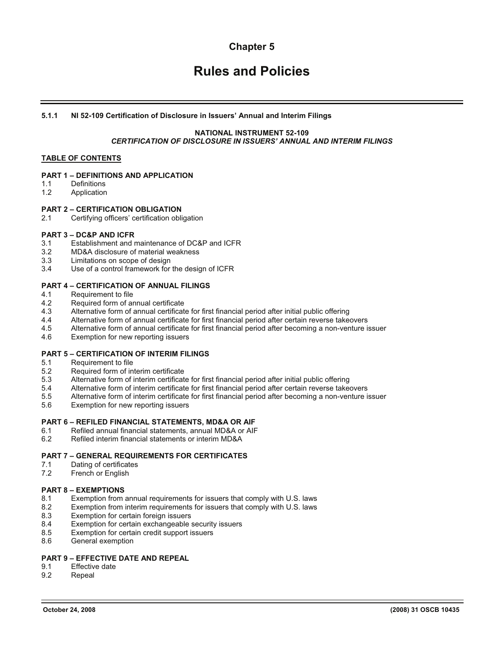# **Chapter 5**

# **Rules and Policies**

# **5.1.1 NI 52-109 Certification of Disclosure in Issuers' Annual and Interim Filings**

# **NATIONAL INSTRUMENT 52-109**

# *CERTIFICATION OF DISCLOSURE IN ISSUERS' ANNUAL AND INTERIM FILINGS*

## **TABLE OF CONTENTS**

## **PART 1 – DEFINITIONS AND APPLICATION**

- 1.1 Definitions<br>1.2 Application
- **Application**

# **PART 2 – CERTIFICATION OBLIGATION**

2.1 Certifying officers' certification obligation

## **PART 3 – DC&P AND ICFR**

- 3.1 Establishment and maintenance of DC&P and ICFR
- 3.2 MD&A disclosure of material weakness
- 3.3 Limitations on scope of design
- 3.4 Use of a control framework for the design of ICFR

## **PART 4 – CERTIFICATION OF ANNUAL FILINGS**

- 4.1 Requirement to file<br>4.2 Required form of ar
- 4.2 Required form of annual certificate<br>4.3 Alternative form of annual certificat
- 4.3 Alternative form of annual certificate for first financial period after initial public offering<br>4.4 Alternative form of annual certificate for first financial period after certain reverse take
- 4.4 Alternative form of annual certificate for first financial period after certain reverse takeovers<br>4.5 Alternative form of annual certificate for first financial period after becoming a non-venture is
- Alternative form of annual certificate for first financial period after becoming a non-venture issuer
- 4.6 Exemption for new reporting issuers

# **PART 5 – CERTIFICATION OF INTERIM FILINGS**

- 5.1 Requirement to file<br>5.2 Required form of in
- 5.2 Required form of interim certificate
- 5.3 Alternative form of interim certificate for first financial period after initial public offering
- 5.4 Alternative form of interim certificate for first financial period after certain reverse takeovers
- 5.5 Alternative form of interim certificate for first financial period after becoming a non-venture issuer
- 5.6 Exemption for new reporting issuers

# **PART 6 – REFILED FINANCIAL STATEMENTS, MD&A OR AIF**

- 6.1 Refiled annual financial statements, annual MD&A or AIF<br>6.2 Refiled interim financial statements or interim MD&A
- 6.2 Refiled interim financial statements or interim MD&A

# **PART 7 – GENERAL REQUIREMENTS FOR CERTIFICATES**

- 7.1 Dating of certificates
- 7.2 French or English

# **PART 8 – EXEMPTIONS**

- 8.1 Exemption from annual requirements for issuers that comply with U.S. laws<br>8.2 Exemption from interim requirements for issuers that comply with U.S. laws
- 8.2 Exemption from interim requirements for issuers that comply with U.S. laws<br>8.3 Exemption for certain foreign issuers
- 8.3 Exemption for certain foreign issuers<br>8.4 Exemption for certain exchangeable
- 8.4 Exemption for certain exchangeable security issuers<br>8.5 Exemption for certain credit support issuers
- 8.5 Exemption for certain credit support issuers<br>8.6 General exemption
- General exemption

# **PART 9 – EFFECTIVE DATE AND REPEAL**

- 9.1 Effective date<br>9.2 Repeal
- **Repeal**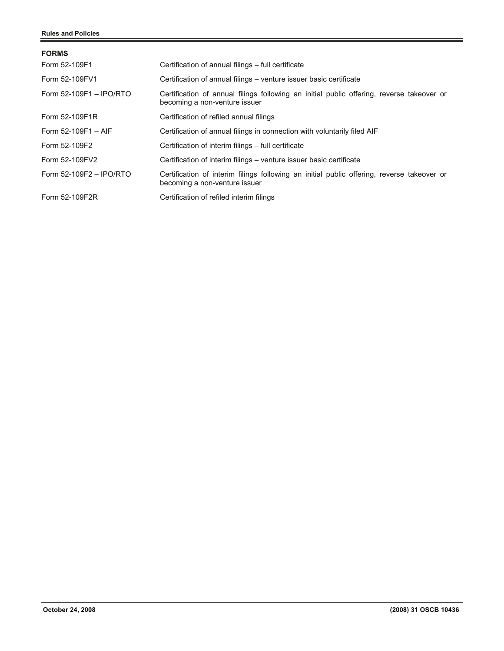| <b>FORMS</b>              |                                                                                                                             |
|---------------------------|-----------------------------------------------------------------------------------------------------------------------------|
| Form 52-109F1             | Certification of annual filings – full certificate                                                                          |
| Form 52-109FV1            | Certification of annual filings – venture issuer basic certificate                                                          |
| Form $52-109F1 - IPO/RTO$ | Certification of annual filings following an initial public offering, reverse takeover or<br>becoming a non-venture issuer  |
| Form 52-109F1R            | Certification of refiled annual filings                                                                                     |
| Form $52-109F1 - AIF$     | Certification of annual filings in connection with voluntarily filed AIF                                                    |
| Form 52-109F2             | Certification of interim filings – full certificate                                                                         |
| Form 52-109FV2            | Certification of interim filings - venture issuer basic certificate                                                         |
| Form $52-109F2 - IPO/RTO$ | Certification of interim filings following an initial public offering, reverse takeover or<br>becoming a non-venture issuer |
| Form 52-109F2R            | Certification of refiled interim filings                                                                                    |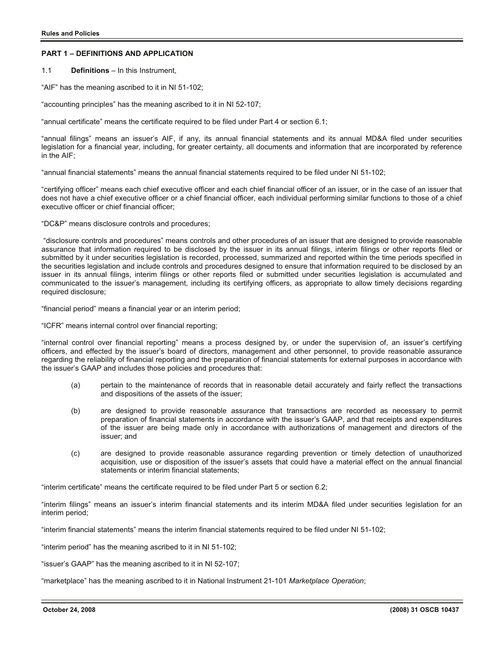# **PART 1 – DEFINITIONS AND APPLICATION**

## 1.1 **Definitions** – In this Instrument,

"AIF" has the meaning ascribed to it in NI 51-102;

"accounting principles" has the meaning ascribed to it in NI 52-107;

"annual certificate" means the certificate required to be filed under Part 4 or section 6.1;

"annual filings" means an issuer's AIF, if any, its annual financial statements and its annual MD&A filed under securities legislation for a financial year, including, for greater certainty, all documents and information that are incorporated by reference in the AIF;

"annual financial statements" means the annual financial statements required to be filed under NI 51-102;

"certifying officer" means each chief executive officer and each chief financial officer of an issuer, or in the case of an issuer that does not have a chief executive officer or a chief financial officer, each individual performing similar functions to those of a chief executive officer or chief financial officer;

"DC&P" means disclosure controls and procedures;

 "disclosure controls and procedures" means controls and other procedures of an issuer that are designed to provide reasonable assurance that information required to be disclosed by the issuer in its annual filings, interim filings or other reports filed or submitted by it under securities legislation is recorded, processed, summarized and reported within the time periods specified in the securities legislation and include controls and procedures designed to ensure that information required to be disclosed by an issuer in its annual filings, interim filings or other reports filed or submitted under securities legislation is accumulated and communicated to the issuer's management, including its certifying officers, as appropriate to allow timely decisions regarding required disclosure;

"financial period" means a financial year or an interim period;

"ICFR" means internal control over financial reporting;

"internal control over financial reporting" means a process designed by, or under the supervision of, an issuer's certifying officers, and effected by the issuer's board of directors, management and other personnel, to provide reasonable assurance regarding the reliability of financial reporting and the preparation of financial statements for external purposes in accordance with the issuer's GAAP and includes those policies and procedures that:

- (a) pertain to the maintenance of records that in reasonable detail accurately and fairly reflect the transactions and dispositions of the assets of the issuer;
- (b) are designed to provide reasonable assurance that transactions are recorded as necessary to permit preparation of financial statements in accordance with the issuer's GAAP, and that receipts and expenditures of the issuer are being made only in accordance with authorizations of management and directors of the issuer; and
- (c) are designed to provide reasonable assurance regarding prevention or timely detection of unauthorized acquisition, use or disposition of the issuer's assets that could have a material effect on the annual financial statements or interim financial statements;

"interim certificate" means the certificate required to be filed under Part 5 or section 6.2;

"interim filings" means an issuer's interim financial statements and its interim MD&A filed under securities legislation for an interim period;

"interim financial statements" means the interim financial statements required to be filed under NI 51-102;

"interim period" has the meaning ascribed to it in NI 51-102;

"issuer's GAAP" has the meaning ascribed to it in NI 52-107;

"marketplace" has the meaning ascribed to it in National Instrument 21-101 *Marketplace Operation*;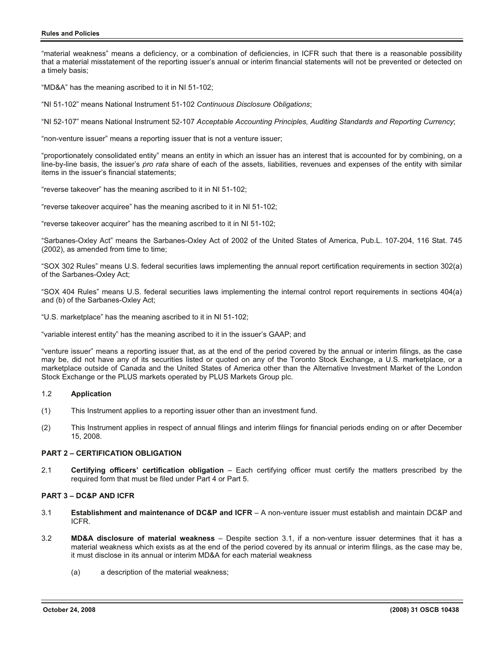"material weakness" means a deficiency, or a combination of deficiencies, in ICFR such that there is a reasonable possibility that a material misstatement of the reporting issuer's annual or interim financial statements will not be prevented or detected on a timely basis;

"MD&A" has the meaning ascribed to it in NI 51-102;

"NI 51-102" means National Instrument 51-102 *Continuous Disclosure Obligations*;

"NI 52-107" means National Instrument 52-107 *Acceptable Accounting Principles, Auditing Standards and Reporting Currency*;

"non-venture issuer" means a reporting issuer that is not a venture issuer;

"proportionately consolidated entity" means an entity in which an issuer has an interest that is accounted for by combining, on a line-by-line basis, the issuer's *pro rata* share of each of the assets, liabilities, revenues and expenses of the entity with similar items in the issuer's financial statements;

"reverse takeover" has the meaning ascribed to it in NI 51-102;

"reverse takeover acquiree" has the meaning ascribed to it in NI 51-102;

"reverse takeover acquirer" has the meaning ascribed to it in NI 51-102;

"Sarbanes-Oxley Act" means the Sarbanes-Oxley Act of 2002 of the United States of America, Pub.L. 107-204, 116 Stat. 745 (2002), as amended from time to time;

"SOX 302 Rules" means U.S. federal securities laws implementing the annual report certification requirements in section 302(a) of the Sarbanes-Oxley Act;

"SOX 404 Rules" means U.S. federal securities laws implementing the internal control report requirements in sections 404(a) and (b) of the Sarbanes-Oxley Act;

"U.S. marketplace" has the meaning ascribed to it in NI 51-102;

"variable interest entity" has the meaning ascribed to it in the issuer's GAAP; and

"venture issuer" means a reporting issuer that, as at the end of the period covered by the annual or interim filings, as the case may be, did not have any of its securities listed or quoted on any of the Toronto Stock Exchange, a U.S. marketplace, or a marketplace outside of Canada and the United States of America other than the Alternative Investment Market of the London Stock Exchange or the PLUS markets operated by PLUS Markets Group plc.

## 1.2 **Application**

- (1) This Instrument applies to a reporting issuer other than an investment fund.
- (2) This Instrument applies in respect of annual filings and interim filings for financial periods ending on or after December 15, 2008.

# **PART 2 – CERTIFICATION OBLIGATION**

2.1 **Certifying officers' certification obligation** – Each certifying officer must certify the matters prescribed by the required form that must be filed under Part 4 or Part 5.

## **PART 3 – DC&P AND ICFR**

- 3.1 **Establishment and maintenance of DC&P and ICFR** A non-venture issuer must establish and maintain DC&P and ICFR.
- 3.2 **MD&A disclosure of material weakness** Despite section 3.1, if a non-venture issuer determines that it has a material weakness which exists as at the end of the period covered by its annual or interim filings, as the case may be, it must disclose in its annual or interim MD&A for each material weakness
	- (a) a description of the material weakness;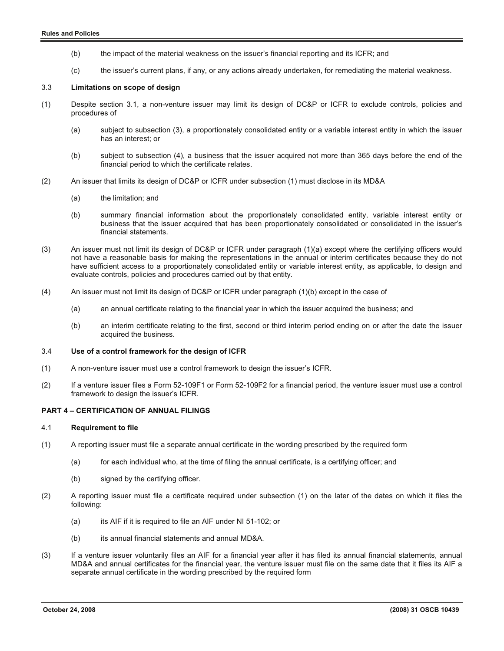- (b) the impact of the material weakness on the issuer's financial reporting and its ICFR; and
- (c) the issuer's current plans, if any, or any actions already undertaken, for remediating the material weakness.

## 3.3 **Limitations on scope of design**

- (1) Despite section 3.1, a non-venture issuer may limit its design of DC&P or ICFR to exclude controls, policies and procedures of
	- (a) subject to subsection (3), a proportionately consolidated entity or a variable interest entity in which the issuer has an interest; or
	- (b) subject to subsection (4), a business that the issuer acquired not more than 365 days before the end of the financial period to which the certificate relates.
- (2) An issuer that limits its design of DC&P or ICFR under subsection (1) must disclose in its MD&A
	- (a) the limitation; and
	- (b) summary financial information about the proportionately consolidated entity, variable interest entity or business that the issuer acquired that has been proportionately consolidated or consolidated in the issuer's financial statements.
- (3) An issuer must not limit its design of DC&P or ICFR under paragraph (1)(a) except where the certifying officers would not have a reasonable basis for making the representations in the annual or interim certificates because they do not have sufficient access to a proportionately consolidated entity or variable interest entity, as applicable, to design and evaluate controls, policies and procedures carried out by that entity.
- (4) An issuer must not limit its design of DC&P or ICFR under paragraph (1)(b) except in the case of
	- (a) an annual certificate relating to the financial year in which the issuer acquired the business; and
	- (b) an interim certificate relating to the first, second or third interim period ending on or after the date the issuer acquired the business.

#### 3.4 **Use of a control framework for the design of ICFR**

- (1) A non-venture issuer must use a control framework to design the issuer's ICFR.
- (2) If a venture issuer files a Form 52-109F1 or Form 52-109F2 for a financial period, the venture issuer must use a control framework to design the issuer's ICFR.

#### **PART 4 – CERTIFICATION OF ANNUAL FILINGS**

### 4.1 **Requirement to file**

- (1) A reporting issuer must file a separate annual certificate in the wording prescribed by the required form
	- (a) for each individual who, at the time of filing the annual certificate, is a certifying officer; and
	- (b) signed by the certifying officer.
- (2) A reporting issuer must file a certificate required under subsection (1) on the later of the dates on which it files the following:
	- (a) its AIF if it is required to file an AIF under NI 51-102; or
	- (b) its annual financial statements and annual MD&A.
- (3) If a venture issuer voluntarily files an AIF for a financial year after it has filed its annual financial statements, annual MD&A and annual certificates for the financial year, the venture issuer must file on the same date that it files its AIF a separate annual certificate in the wording prescribed by the required form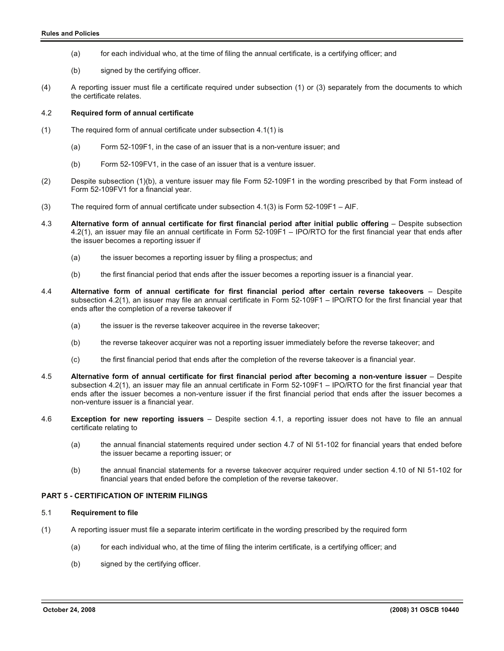- (a) for each individual who, at the time of filing the annual certificate, is a certifying officer; and
- (b) signed by the certifying officer.
- (4) A reporting issuer must file a certificate required under subsection (1) or (3) separately from the documents to which the certificate relates.

## 4.2 **Required form of annual certificate**

- (1) The required form of annual certificate under subsection 4.1(1) is
	- (a) Form 52-109F1, in the case of an issuer that is a non-venture issuer; and
	- (b) Form 52-109FV1, in the case of an issuer that is a venture issuer.
- (2) Despite subsection (1)(b), a venture issuer may file Form 52-109F1 in the wording prescribed by that Form instead of Form 52-109FV1 for a financial year.
- (3) The required form of annual certificate under subsection 4.1(3) is Form 52-109F1 AIF.
- 4.3 **Alternative form of annual certificate for first financial period after initial public offering** Despite subsection 4.2(1), an issuer may file an annual certificate in Form 52-109F1 – IPO/RTO for the first financial year that ends after the issuer becomes a reporting issuer if
	- (a) the issuer becomes a reporting issuer by filing a prospectus; and
	- (b) the first financial period that ends after the issuer becomes a reporting issuer is a financial year.
- 4.4 **Alternative form of annual certificate for first financial period after certain reverse takeovers** Despite subsection 4.2(1), an issuer may file an annual certificate in Form 52-109F1 – IPO/RTO for the first financial year that ends after the completion of a reverse takeover if
	- (a) the issuer is the reverse takeover acquiree in the reverse takeover;
	- (b) the reverse takeover acquirer was not a reporting issuer immediately before the reverse takeover; and
	- (c) the first financial period that ends after the completion of the reverse takeover is a financial year.
- 4.5 **Alternative form of annual certificate for first financial period after becoming a non-venture issuer** Despite subsection 4.2(1), an issuer may file an annual certificate in Form 52-109F1 – IPO/RTO for the first financial year that ends after the issuer becomes a non-venture issuer if the first financial period that ends after the issuer becomes a non-venture issuer is a financial year.
- 4.6 **Exception for new reporting issuers** Despite section 4.1, a reporting issuer does not have to file an annual certificate relating to
	- (a) the annual financial statements required under section 4.7 of NI 51-102 for financial years that ended before the issuer became a reporting issuer; or
	- (b) the annual financial statements for a reverse takeover acquirer required under section 4.10 of NI 51-102 for financial years that ended before the completion of the reverse takeover.

# **PART 5 - CERTIFICATION OF INTERIM FILINGS**

#### 5.1 **Requirement to file**

- (1) A reporting issuer must file a separate interim certificate in the wording prescribed by the required form
	- (a) for each individual who, at the time of filing the interim certificate, is a certifying officer; and
	- (b) signed by the certifying officer.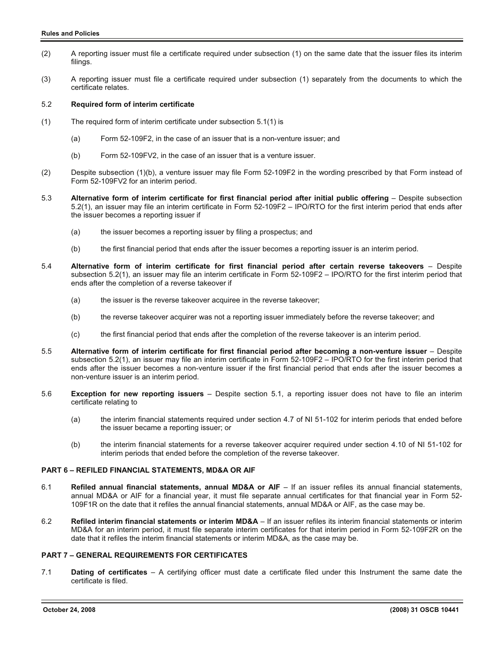- (2) A reporting issuer must file a certificate required under subsection (1) on the same date that the issuer files its interim filings.
- (3) A reporting issuer must file a certificate required under subsection (1) separately from the documents to which the certificate relates.

### 5.2 **Required form of interim certificate**

- (1) The required form of interim certificate under subsection 5.1(1) is
	- (a) Form 52-109F2, in the case of an issuer that is a non-venture issuer; and
	- (b) Form 52-109FV2, in the case of an issuer that is a venture issuer.
- (2) Despite subsection (1)(b), a venture issuer may file Form 52-109F2 in the wording prescribed by that Form instead of Form 52-109FV2 for an interim period.
- 5.3 **Alternative form of interim certificate for first financial period after initial public offering** Despite subsection 5.2(1), an issuer may file an interim certificate in Form 52-109F2 – IPO/RTO for the first interim period that ends after the issuer becomes a reporting issuer if
	- (a) the issuer becomes a reporting issuer by filing a prospectus; and
	- (b) the first financial period that ends after the issuer becomes a reporting issuer is an interim period.
- 5.4 **Alternative form of interim certificate for first financial period after certain reverse takeovers** Despite subsection 5.2(1), an issuer may file an interim certificate in Form 52-109F2 – IPO/RTO for the first interim period that ends after the completion of a reverse takeover if
	- (a) the issuer is the reverse takeover acquiree in the reverse takeover;
	- (b) the reverse takeover acquirer was not a reporting issuer immediately before the reverse takeover; and
	- (c) the first financial period that ends after the completion of the reverse takeover is an interim period.
- 5.5 **Alternative form of interim certificate for first financial period after becoming a non-venture issuer** Despite subsection 5.2(1), an issuer may file an interim certificate in Form 52-109F2 – IPO/RTO for the first interim period that ends after the issuer becomes a non-venture issuer if the first financial period that ends after the issuer becomes a non-venture issuer is an interim period.
- 5.6 **Exception for new reporting issuers** Despite section 5.1, a reporting issuer does not have to file an interim certificate relating to
	- (a) the interim financial statements required under section 4.7 of NI 51-102 for interim periods that ended before the issuer became a reporting issuer; or
	- (b) the interim financial statements for a reverse takeover acquirer required under section 4.10 of NI 51-102 for interim periods that ended before the completion of the reverse takeover.

## **PART 6 – REFILED FINANCIAL STATEMENTS, MD&A OR AIF**

- 6.1 **Refiled annual financial statements, annual MD&A or AIF** If an issuer refiles its annual financial statements, annual MD&A or AIF for a financial year, it must file separate annual certificates for that financial year in Form 52- 109F1R on the date that it refiles the annual financial statements, annual MD&A or AIF, as the case may be.
- 6.2 **Refiled interim financial statements or interim MD&A** If an issuer refiles its interim financial statements or interim MD&A for an interim period, it must file separate interim certificates for that interim period in Form 52-109F2R on the date that it refiles the interim financial statements or interim MD&A, as the case may be.

# **PART 7 – GENERAL REQUIREMENTS FOR CERTIFICATES**

7.1 **Dating of certificates** – A certifying officer must date a certificate filed under this Instrument the same date the certificate is filed.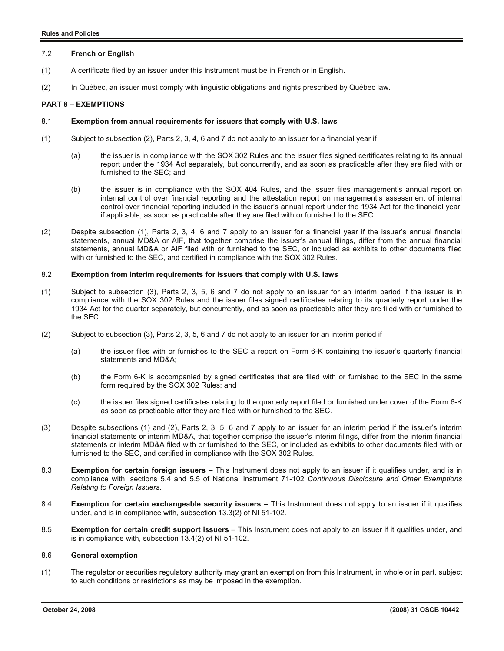# 7.2 **French or English**

- (1) A certificate filed by an issuer under this Instrument must be in French or in English.
- (2) In Québec, an issuer must comply with linguistic obligations and rights prescribed by Québec law.

## **PART 8 – EXEMPTIONS**

#### 8.1 **Exemption from annual requirements for issuers that comply with U.S. laws**

- (1) Subject to subsection (2), Parts 2, 3, 4, 6 and 7 do not apply to an issuer for a financial year if
	- (a) the issuer is in compliance with the SOX 302 Rules and the issuer files signed certificates relating to its annual report under the 1934 Act separately, but concurrently, and as soon as practicable after they are filed with or furnished to the SEC; and
	- (b) the issuer is in compliance with the SOX 404 Rules, and the issuer files management's annual report on internal control over financial reporting and the attestation report on management's assessment of internal control over financial reporting included in the issuer's annual report under the 1934 Act for the financial year, if applicable, as soon as practicable after they are filed with or furnished to the SEC.
- (2) Despite subsection (1), Parts 2, 3, 4, 6 and 7 apply to an issuer for a financial year if the issuer's annual financial statements, annual MD&A or AIF, that together comprise the issuer's annual filings, differ from the annual financial statements, annual MD&A or AIF filed with or furnished to the SEC, or included as exhibits to other documents filed with or furnished to the SEC, and certified in compliance with the SOX 302 Rules.

#### 8.2 **Exemption from interim requirements for issuers that comply with U.S. laws**

- (1) Subject to subsection (3), Parts 2, 3, 5, 6 and 7 do not apply to an issuer for an interim period if the issuer is in compliance with the SOX 302 Rules and the issuer files signed certificates relating to its quarterly report under the 1934 Act for the quarter separately, but concurrently, and as soon as practicable after they are filed with or furnished to the SEC.
- (2) Subject to subsection (3), Parts 2, 3, 5, 6 and 7 do not apply to an issuer for an interim period if
	- (a) the issuer files with or furnishes to the SEC a report on Form 6-K containing the issuer's quarterly financial statements and MD&A;
	- (b) the Form 6-K is accompanied by signed certificates that are filed with or furnished to the SEC in the same form required by the SOX 302 Rules; and
	- (c) the issuer files signed certificates relating to the quarterly report filed or furnished under cover of the Form 6-K as soon as practicable after they are filed with or furnished to the SEC.
- (3) Despite subsections (1) and (2), Parts 2, 3, 5, 6 and 7 apply to an issuer for an interim period if the issuer's interim financial statements or interim MD&A, that together comprise the issuer's interim filings, differ from the interim financial statements or interim MD&A filed with or furnished to the SEC, or included as exhibits to other documents filed with or furnished to the SEC, and certified in compliance with the SOX 302 Rules.
- 8.3 **Exemption for certain foreign issuers** This Instrument does not apply to an issuer if it qualifies under, and is in compliance with, sections 5.4 and 5.5 of National Instrument 71-102 *Continuous Disclosure and Other Exemptions Relating to Foreign Issuers*.
- 8.4 **Exemption for certain exchangeable security issuers** This Instrument does not apply to an issuer if it qualifies under, and is in compliance with, subsection 13.3(2) of NI 51-102.
- 8.5 **Exemption for certain credit support issuers** This Instrument does not apply to an issuer if it qualifies under, and is in compliance with, subsection 13.4(2) of NI 51-102.

## 8.6 **General exemption**

(1) The regulator or securities regulatory authority may grant an exemption from this Instrument, in whole or in part, subject to such conditions or restrictions as may be imposed in the exemption.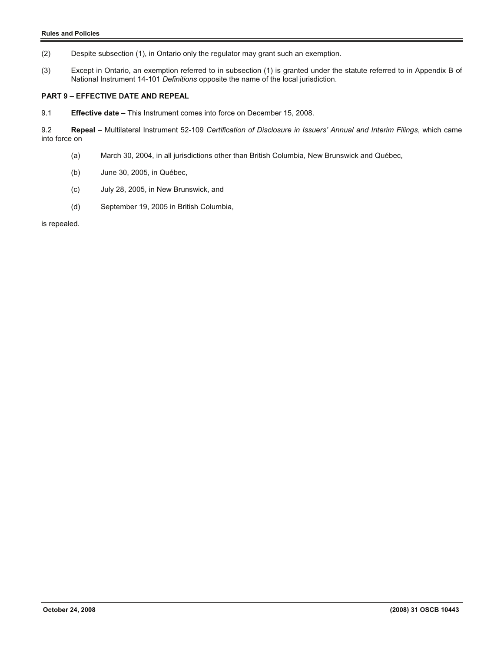- (2) Despite subsection (1), in Ontario only the regulator may grant such an exemption.
- (3) Except in Ontario, an exemption referred to in subsection (1) is granted under the statute referred to in Appendix B of National Instrument 14-101 *Definitions* opposite the name of the local jurisdiction.

# **PART 9 – EFFECTIVE DATE AND REPEAL**

9.1 **Effective date** – This Instrument comes into force on December 15, 2008.

9.2 **Repeal** – Multilateral Instrument 52-109 *Certification of Disclosure in Issuers' Annual and Interim Filings*, which came into force on

- (a) March 30, 2004, in all jurisdictions other than British Columbia, New Brunswick and Québec,
- (b) June 30, 2005, in Québec,
- (c) July 28, 2005, in New Brunswick, and
- (d) September 19, 2005 in British Columbia,

is repealed.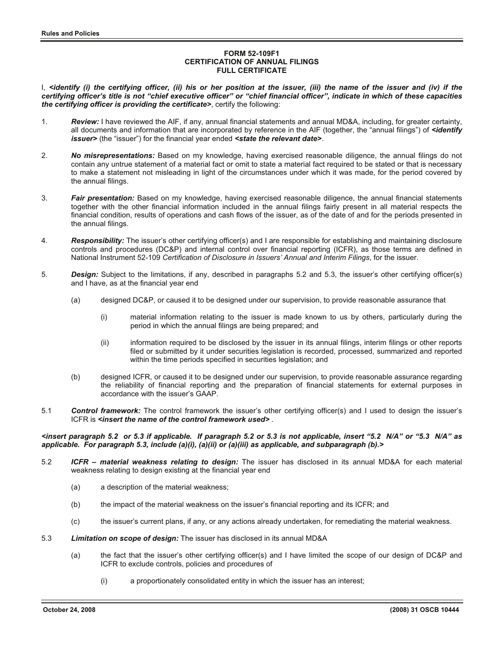## **FORM 52-109F1 CERTIFICATION OF ANNUAL FILINGS FULL CERTIFICATE**

I, *<identify (i) the certifying officer, (ii) his or her position at the issuer, (iii) the name of the issuer and (iv) if the certifying officer's title is not "chief executive officer" or "chief financial officer", indicate in which of these capacities the certifying officer is providing the certificate>*, certify the following:

- 1. *Review:* I have reviewed the AIF, if any, annual financial statements and annual MD&A, including, for greater certainty, all documents and information that are incorporated by reference in the AIF (together, the "annual filings") of *<identify issuer>* (the "issuer") for the financial year ended *<state the relevant date>*.
- 2. *No misrepresentations:* Based on my knowledge, having exercised reasonable diligence, the annual filings do not contain any untrue statement of a material fact or omit to state a material fact required to be stated or that is necessary to make a statement not misleading in light of the circumstances under which it was made, for the period covered by the annual filings.
- 3. *Fair presentation:* Based on my knowledge, having exercised reasonable diligence, the annual financial statements together with the other financial information included in the annual filings fairly present in all material respects the financial condition, results of operations and cash flows of the issuer, as of the date of and for the periods presented in the annual filings.
- 4. *Responsibility:* The issuer's other certifying officer(s) and I are responsible for establishing and maintaining disclosure controls and procedures (DC&P) and internal control over financial reporting (ICFR), as those terms are defined in National Instrument 52-109 *Certification of Disclosure in Issuers' Annual and Interim Filings*, for the issuer.
- 5. *Design:* Subject to the limitations, if any, described in paragraphs 5.2 and 5.3, the issuer's other certifying officer(s) and I have, as at the financial year end
	- (a) designed DC&P, or caused it to be designed under our supervision, to provide reasonable assurance that
		- (i) material information relating to the issuer is made known to us by others, particularly during the period in which the annual filings are being prepared; and
		- (ii) information required to be disclosed by the issuer in its annual filings, interim filings or other reports filed or submitted by it under securities legislation is recorded, processed, summarized and reported within the time periods specified in securities legislation; and
	- (b) designed ICFR, or caused it to be designed under our supervision, to provide reasonable assurance regarding the reliability of financial reporting and the preparation of financial statements for external purposes in accordance with the issuer's GAAP.
- 5.1 *Control framework:* The control framework the issuer's other certifying officer(s) and I used to design the issuer's ICFR is *<insert the name of the control framework used>* .

*<insert paragraph 5.2 or 5.3 if applicable. If paragraph 5.2 or 5.3 is not applicable, insert "5.2 N/A" or "5.3 N/A" as applicable. For paragraph 5.3, include (a)(i), (a)(ii) or (a)(iii) as applicable, and subparagraph (b).>* 

- 5.2 *ICFR material weakness relating to design:* The issuer has disclosed in its annual MD&A for each material weakness relating to design existing at the financial year end
	- (a) a description of the material weakness;
	- (b) the impact of the material weakness on the issuer's financial reporting and its ICFR; and
	- (c) the issuer's current plans, if any, or any actions already undertaken, for remediating the material weakness.
- 5.3 *Limitation on scope of design:* The issuer has disclosed in its annual MD&A
	- (a) the fact that the issuer's other certifying officer(s) and I have limited the scope of our design of DC&P and ICFR to exclude controls, policies and procedures of
		- (i) a proportionately consolidated entity in which the issuer has an interest;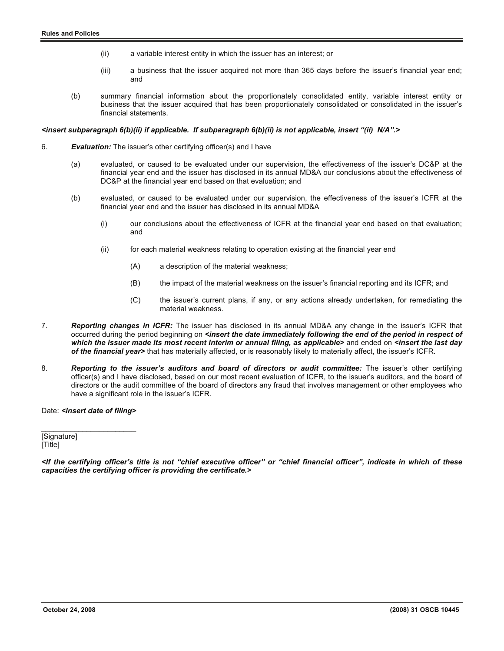- (ii) a variable interest entity in which the issuer has an interest; or
- (iii) a business that the issuer acquired not more than 365 days before the issuer's financial year end; and
- (b) summary financial information about the proportionately consolidated entity, variable interest entity or business that the issuer acquired that has been proportionately consolidated or consolidated in the issuer's financial statements.

## *<insert subparagraph 6(b)(ii) if applicable. If subparagraph 6(b)(ii) is not applicable, insert "(ii) N/A".>*

- 6. *Evaluation:* The issuer's other certifying officer(s) and I have
	- (a) evaluated, or caused to be evaluated under our supervision, the effectiveness of the issuer's DC&P at the financial year end and the issuer has disclosed in its annual MD&A our conclusions about the effectiveness of DC&P at the financial year end based on that evaluation; and
	- (b) evaluated, or caused to be evaluated under our supervision, the effectiveness of the issuer's ICFR at the financial year end and the issuer has disclosed in its annual MD&A
		- (i) our conclusions about the effectiveness of ICFR at the financial year end based on that evaluation; and
		- (ii) for each material weakness relating to operation existing at the financial year end
			- (A) a description of the material weakness;
			- (B) the impact of the material weakness on the issuer's financial reporting and its ICFR; and
			- (C) the issuer's current plans, if any, or any actions already undertaken, for remediating the material weakness.
- 7. *Reporting changes in ICFR:* The issuer has disclosed in its annual MD&A any change in the issuer's ICFR that occurred during the period beginning on *<insert the date immediately following the end of the period in respect of which the issuer made its most recent interim or annual filing, as applicable>* and ended on *<insert the last day of the financial year>* that has materially affected, or is reasonably likely to materially affect, the issuer's ICFR.
- 8. *Reporting to the issuer's auditors and board of directors or audit committee:* The issuer's other certifying officer(s) and I have disclosed, based on our most recent evaluation of ICFR, to the issuer's auditors, and the board of directors or the audit committee of the board of directors any fraud that involves management or other employees who have a significant role in the issuer's ICFR.

#### Date: *<insert date of filing>*

 $\overline{\phantom{a}}$  , where  $\overline{\phantom{a}}$  , where  $\overline{\phantom{a}}$  , where  $\overline{\phantom{a}}$ **[Signature]** [Title]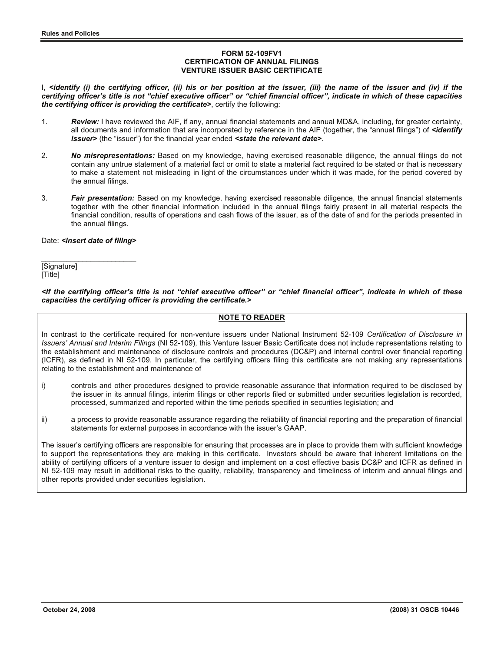## **FORM 52-109FV1 CERTIFICATION OF ANNUAL FILINGS VENTURE ISSUER BASIC CERTIFICATE**

I, *<identify (i) the certifying officer, (ii) his or her position at the issuer, (iii) the name of the issuer and (iv) if the certifying officer's title is not "chief executive officer" or "chief financial officer", indicate in which of these capacities the certifying officer is providing the certificate>*, certify the following:

- 1. *Review:* I have reviewed the AIF, if any, annual financial statements and annual MD&A, including, for greater certainty, all documents and information that are incorporated by reference in the AIF (together, the "annual filings") of *<identify issuer>* (the "issuer") for the financial year ended <state the relevant date>.
- 2. *No misrepresentations:* Based on my knowledge, having exercised reasonable diligence, the annual filings do not contain any untrue statement of a material fact or omit to state a material fact required to be stated or that is necessary to make a statement not misleading in light of the circumstances under which it was made, for the period covered by the annual filings.
- 3. *Fair presentation:* Based on my knowledge, having exercised reasonable diligence, the annual financial statements together with the other financial information included in the annual filings fairly present in all material respects the financial condition, results of operations and cash flows of the issuer, as of the date of and for the periods presented in the annual filings.

## Date: *<insert date of filing>*

 $\overline{\phantom{a}}$  , where  $\overline{\phantom{a}}$  , where  $\overline{\phantom{a}}$  , where  $\overline{\phantom{a}}$ 

[Signature] [Title]

*<If the certifying officer's title is not "chief executive officer" or "chief financial officer", indicate in which of these capacities the certifying officer is providing the certificate.>* 

# **NOTE TO READER**

In contrast to the certificate required for non-venture issuers under National Instrument 52-109 *Certification of Disclosure in Issuers' Annual and Interim Filings* (NI 52-109), this Venture Issuer Basic Certificate does not include representations relating to the establishment and maintenance of disclosure controls and procedures (DC&P) and internal control over financial reporting (ICFR), as defined in NI 52-109. In particular, the certifying officers filing this certificate are not making any representations relating to the establishment and maintenance of

- i) controls and other procedures designed to provide reasonable assurance that information required to be disclosed by the issuer in its annual filings, interim filings or other reports filed or submitted under securities legislation is recorded, processed, summarized and reported within the time periods specified in securities legislation; and
- ii) a process to provide reasonable assurance regarding the reliability of financial reporting and the preparation of financial statements for external purposes in accordance with the issuer's GAAP.

The issuer's certifying officers are responsible for ensuring that processes are in place to provide them with sufficient knowledge to support the representations they are making in this certificate. Investors should be aware that inherent limitations on the ability of certifying officers of a venture issuer to design and implement on a cost effective basis DC&P and ICFR as defined in NI 52-109 may result in additional risks to the quality, reliability, transparency and timeliness of interim and annual filings and other reports provided under securities legislation.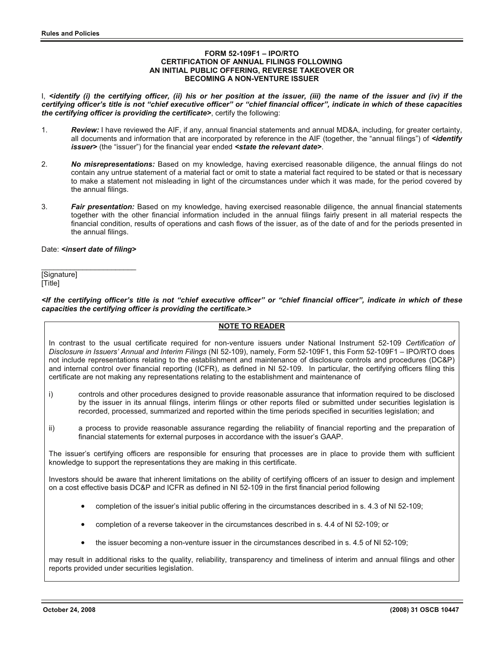## **FORM 52-109F1 – IPO/RTO CERTIFICATION OF ANNUAL FILINGS FOLLOWING AN INITIAL PUBLIC OFFERING, REVERSE TAKEOVER OR BECOMING A NON-VENTURE ISSUER**

I, *<identify (i) the certifying officer, (ii) his or her position at the issuer, (iii) the name of the issuer and (iv) if the certifying officer's title is not "chief executive officer" or "chief financial officer", indicate in which of these capacities the certifying officer is providing the certificate>*, certify the following:

- 1. *Review:* I have reviewed the AIF, if any, annual financial statements and annual MD&A, including, for greater certainty, all documents and information that are incorporated by reference in the AIF (together, the "annual filings") of *<identify issuer>* (the "issuer") for the financial year ended *<state the relevant date>*.
- 2. *No misrepresentations:* Based on my knowledge, having exercised reasonable diligence, the annual filings do not contain any untrue statement of a material fact or omit to state a material fact required to be stated or that is necessary to make a statement not misleading in light of the circumstances under which it was made, for the period covered by the annual filings.
- 3. *Fair presentation:* Based on my knowledge, having exercised reasonable diligence, the annual financial statements together with the other financial information included in the annual filings fairly present in all material respects the financial condition, results of operations and cash flows of the issuer, as of the date of and for the periods presented in the annual filings.

## Date: *<insert date of filing>*

 $\overline{\phantom{a}}$  , where  $\overline{\phantom{a}}$  , where  $\overline{\phantom{a}}$  , where  $\overline{\phantom{a}}$ 

[Signature] [Title]

## *<If the certifying officer's title is not "chief executive officer" or "chief financial officer", indicate in which of these capacities the certifying officer is providing the certificate.>*

# **NOTE TO READER**

In contrast to the usual certificate required for non-venture issuers under National Instrument 52-109 *Certification of Disclosure in Issuers' Annual and Interim Filings* (NI 52-109), namely, Form 52-109F1, this Form 52-109F1 – IPO/RTO does not include representations relating to the establishment and maintenance of disclosure controls and procedures (DC&P) and internal control over financial reporting (ICFR), as defined in NI 52-109. In particular, the certifying officers filing this certificate are not making any representations relating to the establishment and maintenance of

- i) controls and other procedures designed to provide reasonable assurance that information required to be disclosed by the issuer in its annual filings, interim filings or other reports filed or submitted under securities legislation is recorded, processed, summarized and reported within the time periods specified in securities legislation; and
- ii) a process to provide reasonable assurance regarding the reliability of financial reporting and the preparation of financial statements for external purposes in accordance with the issuer's GAAP.

The issuer's certifying officers are responsible for ensuring that processes are in place to provide them with sufficient knowledge to support the representations they are making in this certificate.

Investors should be aware that inherent limitations on the ability of certifying officers of an issuer to design and implement on a cost effective basis DC&P and ICFR as defined in NI 52-109 in the first financial period following

- completion of the issuer's initial public offering in the circumstances described in s. 4.3 of NI 52-109;
- completion of a reverse takeover in the circumstances described in s. 4.4 of NI 52-109; or
- the issuer becoming a non-venture issuer in the circumstances described in s. 4.5 of NI 52-109;

may result in additional risks to the quality, reliability, transparency and timeliness of interim and annual filings and other reports provided under securities legislation.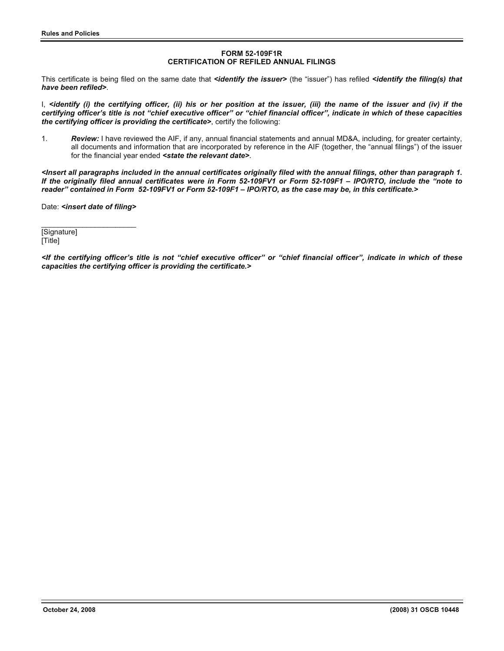# **FORM 52-109F1R CERTIFICATION OF REFILED ANNUAL FILINGS**

This certificate is being filed on the same date that *<identify the issuer>* (the "issuer") has refiled *<identify the filing(s) that have been refiled>*.

I, *<identify (i) the certifying officer, (ii) his or her position at the issuer, (iii) the name of the issuer and (iv) if the certifying officer's title is not "chief executive officer" or "chief financial officer", indicate in which of these capacities the certifying officer is providing the certificate>*, certify the following:

1. *Review:* I have reviewed the AIF, if any, annual financial statements and annual MD&A, including, for greater certainty, all documents and information that are incorporated by reference in the AIF (together, the "annual filings") of the issuer for the financial year ended *<state the relevant date>*.

*<Insert all paragraphs included in the annual certificates originally filed with the annual filings, other than paragraph 1. If the originally filed annual certificates were in Form 52-109FV1 or Form 52-109F1 – IPO/RTO, include the "note to reader" contained in Form 52-109FV1 or Form 52-109F1 – IPO/RTO, as the case may be, in this certificate.>* 

Date: *<insert date of filing>*

 $\overline{\phantom{a}}$  , where  $\overline{\phantom{a}}$  , where  $\overline{\phantom{a}}$  , where  $\overline{\phantom{a}}$ [Signature] [Title]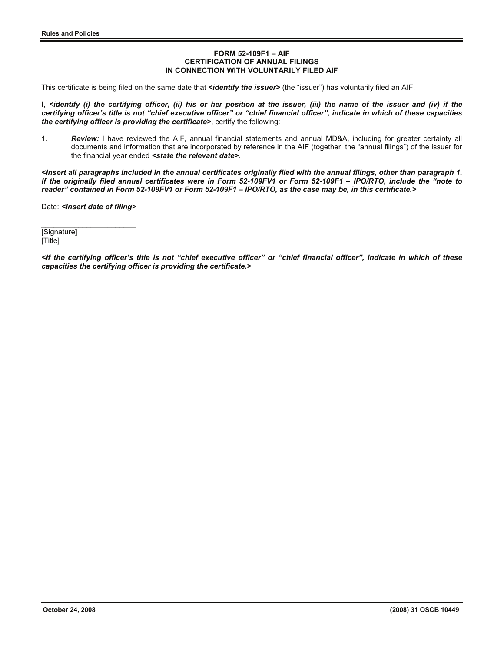## **FORM 52-109F1 – AIF CERTIFICATION OF ANNUAL FILINGS IN CONNECTION WITH VOLUNTARILY FILED AIF**

This certificate is being filed on the same date that *<identify the issuer>* (the "issuer") has voluntarily filed an AIF.

I, *<identify (i) the certifying officer, (ii) his or her position at the issuer, (iii) the name of the issuer and (iv) if the certifying officer's title is not "chief executive officer" or "chief financial officer", indicate in which of these capacities the certifying officer is providing the certificate>*, certify the following:

1. *Review:* I have reviewed the AIF, annual financial statements and annual MD&A, including for greater certainty all documents and information that are incorporated by reference in the AIF (together, the "annual filings") of the issuer for the financial year ended *<state the relevant date>*.

*<Insert all paragraphs included in the annual certificates originally filed with the annual filings, other than paragraph 1. If the originally filed annual certificates were in Form 52-109FV1 or Form 52-109F1 – IPO/RTO, include the "note to reader" contained in Form 52-109FV1 or Form 52-109F1 – IPO/RTO, as the case may be, in this certificate.>* 

Date: *<insert date of filing>*

 $\overline{\phantom{a}}$  , where  $\overline{\phantom{a}}$  , where  $\overline{\phantom{a}}$  , where  $\overline{\phantom{a}}$ [Signature] [Title]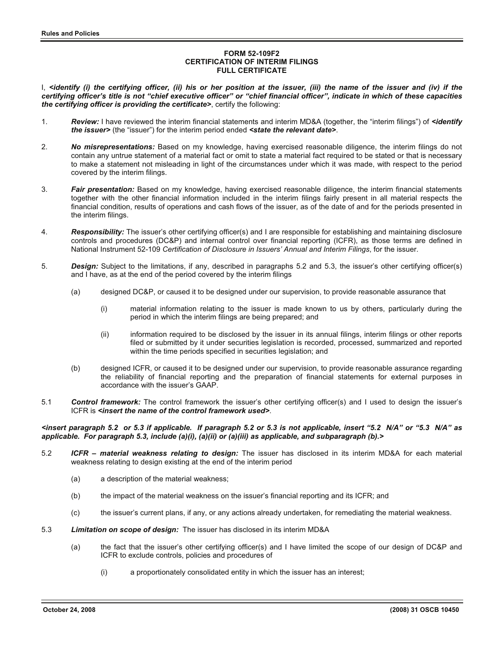## **FORM 52-109F2 CERTIFICATION OF INTERIM FILINGS FULL CERTIFICATE**

I, *<identify (i) the certifying officer, (ii) his or her position at the issuer, (iii) the name of the issuer and (iv) if the certifying officer's title is not "chief executive officer" or "chief financial officer", indicate in which of these capacities the certifying officer is providing the certificate>*, certify the following:

- 1. *Review:* I have reviewed the interim financial statements and interim MD&A (together, the "interim filings") of *<identify the issuer>* (the "issuer") for the interim period ended *<state the relevant date>*.
- 2. *No misrepresentations:* Based on my knowledge, having exercised reasonable diligence, the interim filings do not contain any untrue statement of a material fact or omit to state a material fact required to be stated or that is necessary to make a statement not misleading in light of the circumstances under which it was made, with respect to the period covered by the interim filings.
- 3. *Fair presentation:* Based on my knowledge, having exercised reasonable diligence, the interim financial statements together with the other financial information included in the interim filings fairly present in all material respects the financial condition, results of operations and cash flows of the issuer, as of the date of and for the periods presented in the interim filings.
- 4. *Responsibility:* The issuer's other certifying officer(s) and I are responsible for establishing and maintaining disclosure controls and procedures (DC&P) and internal control over financial reporting (ICFR), as those terms are defined in National Instrument 52-109 *Certification of Disclosure in Issuers' Annual and Interim Filings*, for the issuer.
- 5. *Design:* Subject to the limitations, if any, described in paragraphs 5.2 and 5.3, the issuer's other certifying officer(s) and I have, as at the end of the period covered by the interim filings
	- (a) designed DC&P, or caused it to be designed under our supervision, to provide reasonable assurance that
		- (i) material information relating to the issuer is made known to us by others, particularly during the period in which the interim filings are being prepared; and
		- (ii) information required to be disclosed by the issuer in its annual filings, interim filings or other reports filed or submitted by it under securities legislation is recorded, processed, summarized and reported within the time periods specified in securities legislation; and
	- (b) designed ICFR, or caused it to be designed under our supervision, to provide reasonable assurance regarding the reliability of financial reporting and the preparation of financial statements for external purposes in accordance with the issuer's GAAP.
- 5.1 *Control framework:* The control framework the issuer's other certifying officer(s) and I used to design the issuer's ICFR is *<insert the name of the control framework used>*.

*<insert paragraph 5.2 or 5.3 if applicable. If paragraph 5.2 or 5.3 is not applicable, insert "5.2 N/A" or "5.3 N/A" as applicable. For paragraph 5.3, include (a)(i), (a)(ii) or (a)(iii) as applicable, and subparagraph (b).>* 

- 5.2 *ICFR material weakness relating to design:* The issuer has disclosed in its interim MD&A for each material weakness relating to design existing at the end of the interim period
	- (a) a description of the material weakness;
	- (b) the impact of the material weakness on the issuer's financial reporting and its ICFR; and
	- (c) the issuer's current plans, if any, or any actions already undertaken, for remediating the material weakness.
- 5.3 *Limitation on scope of design:* The issuer has disclosed in its interim MD&A
	- (a) the fact that the issuer's other certifying officer(s) and I have limited the scope of our design of DC&P and ICFR to exclude controls, policies and procedures of
		- (i) a proportionately consolidated entity in which the issuer has an interest;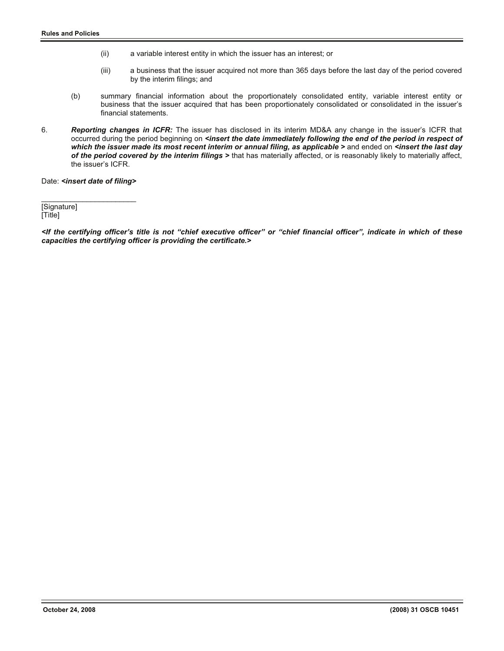- (ii) a variable interest entity in which the issuer has an interest; or
- (iii) a business that the issuer acquired not more than 365 days before the last day of the period covered by the interim filings; and
- (b) summary financial information about the proportionately consolidated entity, variable interest entity or business that the issuer acquired that has been proportionately consolidated or consolidated in the issuer's financial statements.
- 6. *Reporting changes in ICFR:* The issuer has disclosed in its interim MD&A any change in the issuer's ICFR that occurred during the period beginning on *<insert the date immediately following the end of the period in respect of which the issuer made its most recent interim or annual filing, as applicable >* and ended on *<insert the last day of the period covered by the interim filings >* that has materially affected, or is reasonably likely to materially affect, the issuer's ICFR.

Date: *<insert date of filing>*

 $\overline{\phantom{a}}$  , where  $\overline{\phantom{a}}$  , where  $\overline{\phantom{a}}$  , where  $\overline{\phantom{a}}$ [Signature] [Title]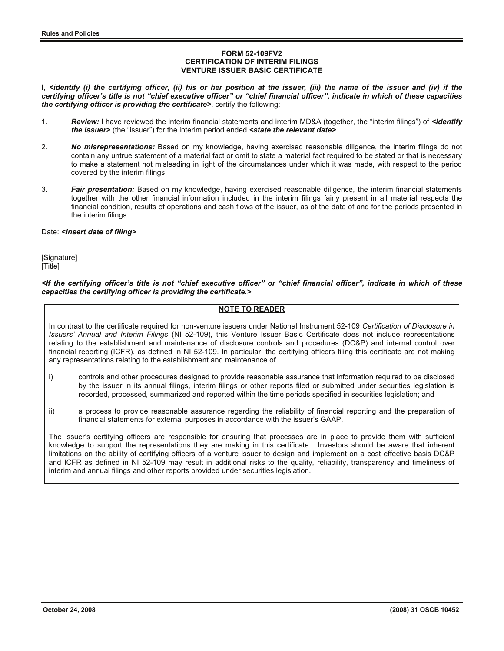## **FORM 52-109FV2 CERTIFICATION OF INTERIM FILINGS VENTURE ISSUER BASIC CERTIFICATE**

I, *<identify (i) the certifying officer, (ii) his or her position at the issuer, (iii) the name of the issuer and (iv) if the certifying officer's title is not "chief executive officer" or "chief financial officer", indicate in which of these capacities the certifying officer is providing the certificate>*, certify the following:

- 1. *Review:* I have reviewed the interim financial statements and interim MD&A (together, the "interim filings") of *<identify the issuer>* (the "issuer") for the interim period ended *<state the relevant date>*.
- 2. *No misrepresentations:* Based on my knowledge, having exercised reasonable diligence, the interim filings do not contain any untrue statement of a material fact or omit to state a material fact required to be stated or that is necessary to make a statement not misleading in light of the circumstances under which it was made, with respect to the period covered by the interim filings.
- 3. *Fair presentation:* Based on my knowledge, having exercised reasonable diligence, the interim financial statements together with the other financial information included in the interim filings fairly present in all material respects the financial condition, results of operations and cash flows of the issuer, as of the date of and for the periods presented in the interim filings.

## Date: *<insert date of filing>*

 $\overline{\phantom{a}}$  , where  $\overline{\phantom{a}}$  , where  $\overline{\phantom{a}}$  , where  $\overline{\phantom{a}}$ [Signature] [Title]

*<If the certifying officer's title is not "chief executive officer" or "chief financial officer", indicate in which of these capacities the certifying officer is providing the certificate.>* 

# **NOTE TO READER**

In contrast to the certificate required for non-venture issuers under National Instrument 52-109 *Certification of Disclosure in Issuers' Annual and Interim Filings* (NI 52-109), this Venture Issuer Basic Certificate does not include representations relating to the establishment and maintenance of disclosure controls and procedures (DC&P) and internal control over financial reporting (ICFR), as defined in NI 52-109. In particular, the certifying officers filing this certificate are not making any representations relating to the establishment and maintenance of

- i) controls and other procedures designed to provide reasonable assurance that information required to be disclosed by the issuer in its annual filings, interim filings or other reports filed or submitted under securities legislation is recorded, processed, summarized and reported within the time periods specified in securities legislation; and
- ii) a process to provide reasonable assurance regarding the reliability of financial reporting and the preparation of financial statements for external purposes in accordance with the issuer's GAAP.

The issuer's certifying officers are responsible for ensuring that processes are in place to provide them with sufficient knowledge to support the representations they are making in this certificate. Investors should be aware that inherent limitations on the ability of certifying officers of a venture issuer to design and implement on a cost effective basis DC&P and ICFR as defined in NI 52-109 may result in additional risks to the quality, reliability, transparency and timeliness of interim and annual filings and other reports provided under securities legislation.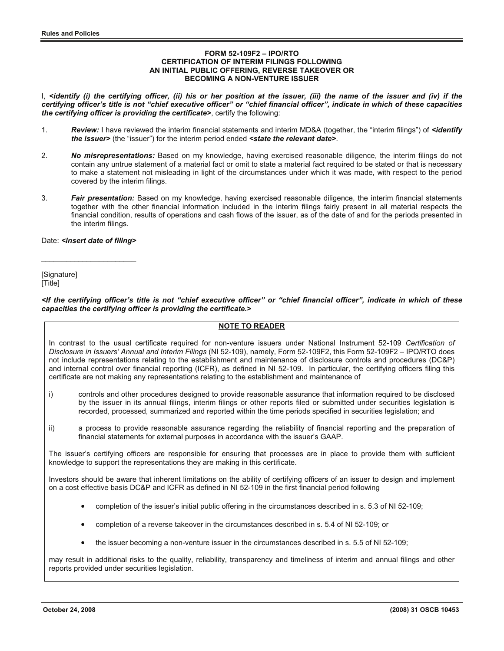## **FORM 52-109F2 – IPO/RTO CERTIFICATION OF INTERIM FILINGS FOLLOWING AN INITIAL PUBLIC OFFERING, REVERSE TAKEOVER OR BECOMING A NON-VENTURE ISSUER**

I, *<identify (i) the certifying officer, (ii) his or her position at the issuer, (iii) the name of the issuer and (iv) if the certifying officer's title is not "chief executive officer" or "chief financial officer", indicate in which of these capacities the certifying officer is providing the certificate>*, certify the following:

- 1. *Review:* I have reviewed the interim financial statements and interim MD&A (together, the "interim filings") of *<identify the issuer>* (the "issuer") for the interim period ended *<state the relevant date>*.
- 2. *No misrepresentations:* Based on my knowledge, having exercised reasonable diligence, the interim filings do not contain any untrue statement of a material fact or omit to state a material fact required to be stated or that is necessary to make a statement not misleading in light of the circumstances under which it was made, with respect to the period covered by the interim filings.
- 3. *Fair presentation:* Based on my knowledge, having exercised reasonable diligence, the interim financial statements together with the other financial information included in the interim filings fairly present in all material respects the financial condition, results of operations and cash flows of the issuer, as of the date of and for the periods presented in the interim filings.

Date: *<insert date of filing>*

 $\overline{\phantom{a}}$  , where  $\overline{\phantom{a}}$  , where  $\overline{\phantom{a}}$  , where  $\overline{\phantom{a}}$ 

[Signature] [Title]

*<If the certifying officer's title is not "chief executive officer" or "chief financial officer", indicate in which of these capacities the certifying officer is providing the certificate.>* 

# **NOTE TO READER**

In contrast to the usual certificate required for non-venture issuers under National Instrument 52-109 *Certification of Disclosure in Issuers' Annual and Interim Filings* (NI 52-109), namely, Form 52-109F2, this Form 52-109F2 – IPO/RTO does not include representations relating to the establishment and maintenance of disclosure controls and procedures (DC&P) and internal control over financial reporting (ICFR), as defined in NI 52-109. In particular, the certifying officers filing this certificate are not making any representations relating to the establishment and maintenance of

- i) controls and other procedures designed to provide reasonable assurance that information required to be disclosed by the issuer in its annual filings, interim filings or other reports filed or submitted under securities legislation is recorded, processed, summarized and reported within the time periods specified in securities legislation; and
- ii) a process to provide reasonable assurance regarding the reliability of financial reporting and the preparation of financial statements for external purposes in accordance with the issuer's GAAP.

The issuer's certifying officers are responsible for ensuring that processes are in place to provide them with sufficient knowledge to support the representations they are making in this certificate.

Investors should be aware that inherent limitations on the ability of certifying officers of an issuer to design and implement on a cost effective basis DC&P and ICFR as defined in NI 52-109 in the first financial period following

- completion of the issuer's initial public offering in the circumstances described in s. 5.3 of NI 52-109;
- completion of a reverse takeover in the circumstances described in s. 5.4 of NI 52-109; or
- the issuer becoming a non-venture issuer in the circumstances described in s. 5.5 of NI 52-109;

may result in additional risks to the quality, reliability, transparency and timeliness of interim and annual filings and other reports provided under securities legislation.